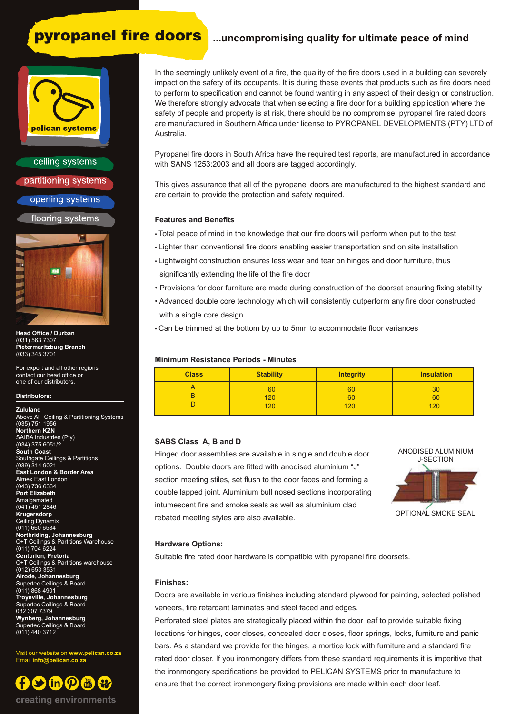# **pyropanel fire doors** ...uncompromising quality for ultimate peace of mind

# pelican systems

ceiling systems partitioning systems opening systems

flooring systems



**Head Office / Durban** (031) 563 7307 **Pietermaritzburg Branch** (033) 345 3701

For export and all other regions contact our head office or one of our distributors.

#### **Distributors:**

**Zululand** Above All Ceiling & Partitioning Systems (035) 751 1956 **Northern KZN**  SAIBA Industries (Pty) (034) 375 6051/2 **South Coast** Southgate Ceilings & Partitions (039) 314 9021 **East London & Border Area** Almex East London (043) 736 6334 **Port Elizabeth Amalgamated** (041) 451 2846 **Krugersdorp** Ceiling Dynamix (011) 660 6584 **Northriding, Johannesburg** C+T Ceilings & Partitions Warehouse (011) 704 6224 **Centurion, Pretoria** C+T Ceilings & Partitions warehouse (012) 653 3531 **Alrode, Johannesburg** Supertec Ceilings & Board (011) 868 4901 **Troyeville, Johannesburg** Supertec Ceilings & Board 082 307 7379 **Wynberg, Johannesburg** Supertec Ceilings & Board (011) 440 3712

Visit our website on **www.pelican.co.za** Email **info@pelican.co.za**



In the seemingly unlikely event of a fire, the quality of the fire doors used in a building can severely impact on the safety of its occupants. It is during these events that products such as fire doors need to perform to specification and cannot be found wanting in any aspect of their design or construction. We therefore strongly advocate that when selecting a fire door for a building application where the safety of people and property is at risk, there should be no compromise. pyropanel fire rated doors are manufactured in Southern Africa under license to PYROPANEL DEVELOPMENTS (PTY) LTD of Australia.

Pyropanel fire doors in South Africa have the required test reports, are manufactured in accordance with SANS 1253:2003 and all doors are tagged accordingly.

This gives assurance that all of the pyropanel doors are manufactured to the highest standard and are certain to provide the protection and safety required.

#### **Features and Benefits**

- Total peace of mind in the knowledge that our fire doors will perform when put to the test
- Lighter than conventional fire doors enabling easier transportation and on site installation
- Lightweight construction ensures less wear and tear on hinges and door furniture, thus significantly extending the life of the fire door
- Provisions for door furniture are made during construction of the doorset ensuring fixing stability
- Advanced double core technology which will consistently outperform any fire door constructed with a single core design
- Can be trimmed at the bottom by up to 5mm to accommodate floor variances

#### **Minimum Resistance Periods - Minutes**

| <b>Class</b> | <b>Stability</b> | <b>Integrity</b> | <b>Insulation</b> |
|--------------|------------------|------------------|-------------------|
|              | 60               | 60               | 30                |
|              | 120              | 60               | 60                |
|              | 120              | 120              | 120               |

### **SABS Class A, B and D**

Hinged door assemblies are available in single and double door options. Double doors are fitted with anodised aluminium "J" section meeting stiles, set flush to the door faces and forming a double lapped joint. Aluminium bull nosed sections incorporating intumescent fire and smoke seals as well as aluminium clad rebated meeting styles are also available.



#### **Hardware Options:**

Suitable fire rated door hardware is compatible with pyropanel fire doorsets.

#### **Finishes:**

Doors are available in various finishes including standard plywood for painting, selected polished veneers, fire retardant laminates and steel faced and edges.

Perforated steel plates are strategically placed within the door leaf to provide suitable fixing locations for hinges, door closes, concealed door closes, floor springs, locks, furniture and panic bars. As a standard we provide for the hinges, a mortice lock with furniture and a standard fire rated door closer. If you ironmongery differs from these standard requirements it is imperitive that the ironmongery specifications be provided to PELICAN SYSTEMS prior to manufacture to ensure that the correct ironmongery fixing provisions are made within each door leaf.